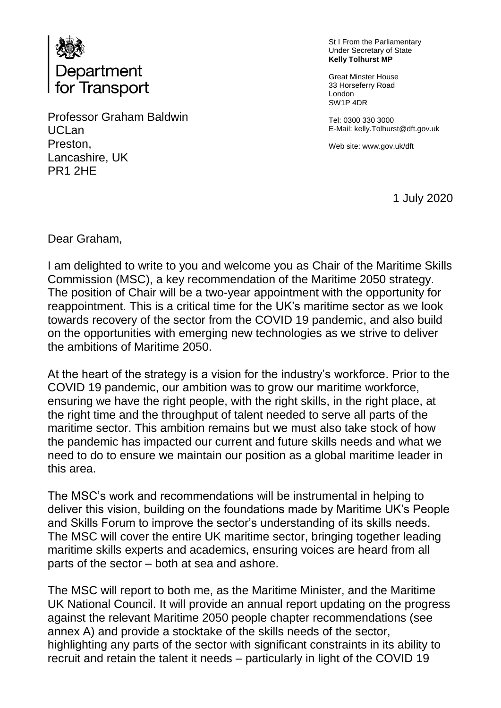

Professor Graham Baldwin UCLan Preston, Lancashire, UK PR1 2HE

St I From the Parliamentary Under Secretary of State **Kelly Tolhurst MP**

Great Minster House 33 Horseferry Road London SW1P 4DR

Tel: 0300 330 3000 E-Mail: kelly.Tolhurst@dft.gov.uk

Web site: www.gov.uk/dft

1 July 2020

Dear Graham,

I am delighted to write to you and welcome you as Chair of the Maritime Skills Commission (MSC), a key recommendation of the Maritime 2050 strategy. The position of Chair will be a two-year appointment with the opportunity for reappointment. This is a critical time for the UK's maritime sector as we look towards recovery of the sector from the COVID 19 pandemic, and also build on the opportunities with emerging new technologies as we strive to deliver the ambitions of Maritime 2050.

At the heart of the strategy is a vision for the industry's workforce. Prior to the COVID 19 pandemic, our ambition was to grow our maritime workforce, ensuring we have the right people, with the right skills, in the right place, at the right time and the throughput of talent needed to serve all parts of the maritime sector. This ambition remains but we must also take stock of how the pandemic has impacted our current and future skills needs and what we need to do to ensure we maintain our position as a global maritime leader in this area.

The MSC's work and recommendations will be instrumental in helping to deliver this vision, building on the foundations made by Maritime UK's People and Skills Forum to improve the sector's understanding of its skills needs. The MSC will cover the entire UK maritime sector, bringing together leading maritime skills experts and academics, ensuring voices are heard from all parts of the sector – both at sea and ashore.

The MSC will report to both me, as the Maritime Minister, and the Maritime UK National Council. It will provide an annual report updating on the progress against the relevant Maritime 2050 people chapter recommendations (see annex A) and provide a stocktake of the skills needs of the sector, highlighting any parts of the sector with significant constraints in its ability to recruit and retain the talent it needs – particularly in light of the COVID 19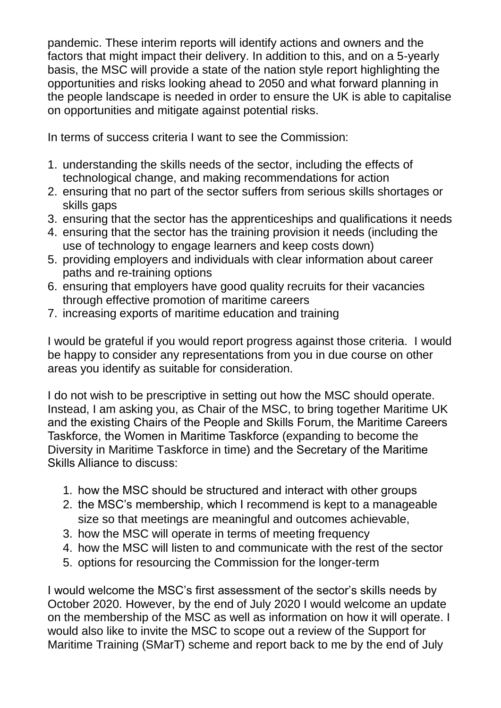pandemic. These interim reports will identify actions and owners and the factors that might impact their delivery. In addition to this, and on a 5-yearly basis, the MSC will provide a state of the nation style report highlighting the opportunities and risks looking ahead to 2050 and what forward planning in the people landscape is needed in order to ensure the UK is able to capitalise on opportunities and mitigate against potential risks.

In terms of success criteria I want to see the Commission:

- 1. understanding the skills needs of the sector, including the effects of technological change, and making recommendations for action
- 2. ensuring that no part of the sector suffers from serious skills shortages or skills gaps
- 3. ensuring that the sector has the apprenticeships and qualifications it needs
- 4. ensuring that the sector has the training provision it needs (including the use of technology to engage learners and keep costs down)
- 5. providing employers and individuals with clear information about career paths and re-training options
- 6. ensuring that employers have good quality recruits for their vacancies through effective promotion of maritime careers
- 7. increasing exports of maritime education and training

I would be grateful if you would report progress against those criteria. I would be happy to consider any representations from you in due course on other areas you identify as suitable for consideration.

I do not wish to be prescriptive in setting out how the MSC should operate. Instead, I am asking you, as Chair of the MSC, to bring together Maritime UK and the existing Chairs of the People and Skills Forum, the Maritime Careers Taskforce, the Women in Maritime Taskforce (expanding to become the Diversity in Maritime Taskforce in time) and the Secretary of the Maritime Skills Alliance to discuss:

- 1. how the MSC should be structured and interact with other groups
- 2. the MSC's membership, which I recommend is kept to a manageable size so that meetings are meaningful and outcomes achievable,
- 3. how the MSC will operate in terms of meeting frequency
- 4. how the MSC will listen to and communicate with the rest of the sector
- 5. options for resourcing the Commission for the longer-term

I would welcome the MSC's first assessment of the sector's skills needs by October 2020. However, by the end of July 2020 I would welcome an update on the membership of the MSC as well as information on how it will operate. I would also like to invite the MSC to scope out a review of the Support for Maritime Training (SMarT) scheme and report back to me by the end of July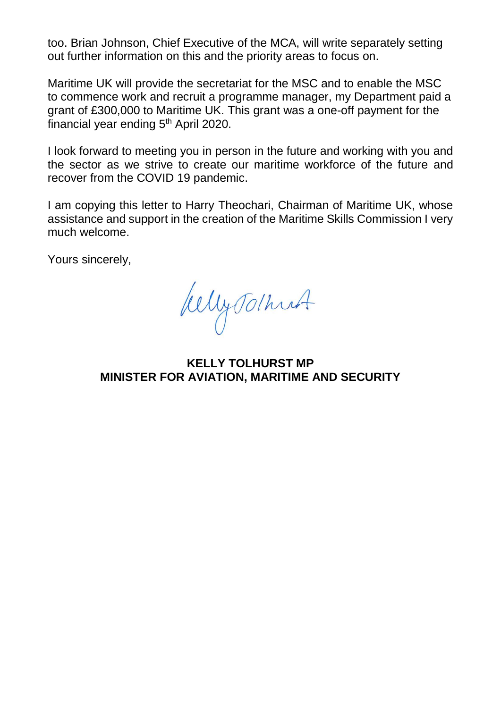too. Brian Johnson, Chief Executive of the MCA, will write separately setting out further information on this and the priority areas to focus on.

Maritime UK will provide the secretariat for the MSC and to enable the MSC to commence work and recruit a programme manager, my Department paid a grant of £300,000 to Maritime UK. This grant was a one-off payment for the financial year ending  $5<sup>th</sup>$  April 2020.

I look forward to meeting you in person in the future and working with you and the sector as we strive to create our maritime workforce of the future and recover from the COVID 19 pandemic.

I am copying this letter to Harry Theochari, Chairman of Maritime UK, whose assistance and support in the creation of the Maritime Skills Commission I very much welcome.

Yours sincerely,

WellyTolhust

**KELLY TOLHURST MP MINISTER FOR AVIATION, MARITIME AND SECURITY**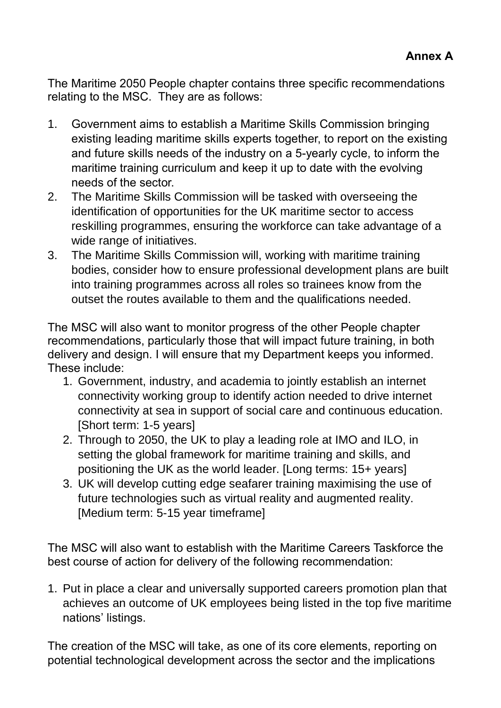The Maritime 2050 People chapter contains three specific recommendations relating to the MSC. They are as follows:

- 1. Government aims to establish a Maritime Skills Commission bringing existing leading maritime skills experts together, to report on the existing and future skills needs of the industry on a 5-yearly cycle, to inform the maritime training curriculum and keep it up to date with the evolving needs of the sector.
- 2. The Maritime Skills Commission will be tasked with overseeing the identification of opportunities for the UK maritime sector to access reskilling programmes, ensuring the workforce can take advantage of a wide range of initiatives.
- 3. The Maritime Skills Commission will, working with maritime training bodies, consider how to ensure professional development plans are built into training programmes across all roles so trainees know from the outset the routes available to them and the qualifications needed.

The MSC will also want to monitor progress of the other People chapter recommendations, particularly those that will impact future training, in both delivery and design. I will ensure that my Department keeps you informed. These include:

- 1. Government, industry, and academia to jointly establish an internet connectivity working group to identify action needed to drive internet connectivity at sea in support of social care and continuous education. [Short term: 1-5 years]
- 2. Through to 2050, the UK to play a leading role at IMO and ILO, in setting the global framework for maritime training and skills, and positioning the UK as the world leader. [Long terms: 15+ years]
- 3. UK will develop cutting edge seafarer training maximising the use of future technologies such as virtual reality and augmented reality. [Medium term: 5-15 year timeframe]

The MSC will also want to establish with the Maritime Careers Taskforce the best course of action for delivery of the following recommendation:

1. Put in place a clear and universally supported careers promotion plan that achieves an outcome of UK employees being listed in the top five maritime nations' listings.

The creation of the MSC will take, as one of its core elements, reporting on potential technological development across the sector and the implications